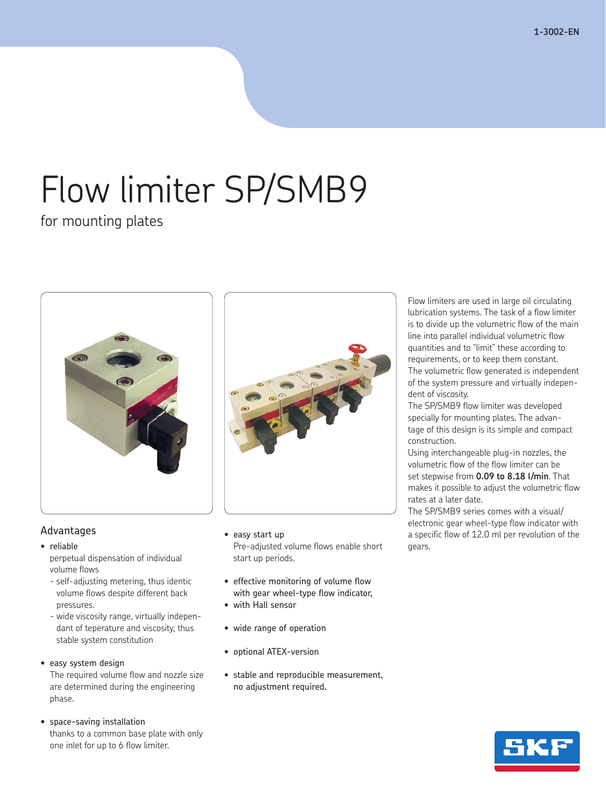# Flow limiter SP/SMB9

for mounting plates



## Advantages

- • reliable perpetual dispensation of individual volume flows
	- self-adjusting metering, thus identic volume flows despite different back pressures.
	- wide viscosity range, virtually independant of teperature and viscosity, thus stable system constitution

#### • easy system design

 The required volume flow and nozzle size are determined during the engineering phase.

#### • space-saving installation

 thanks to a common base plate with only one inlet for up to 6 flow limiter.

- easy start up Pre-adjusted volume flows enable short start up periods.
- effective monitoring of volume flow with gear wheel-type flow indicator,
- • with Hall sensor
- • wide range of operation
- • optional ATEX-version
- • stable and reproducible measurement, no adjustment required.

Flow limiters are used in large oil circulating lubrication systems. The task of a flow limiter is to divide up the volumetric flow of the main line into parallel individual volumetric flow quantities and to "limit" these according to requirements, or to keep them constant. The volumetric flow generated is independent of the system pressure and virtually independent of viscosity.

The SP/SMB9 flow limiter was developed specially for mounting plates. The advantage of this design is its simple and compact construction.

Using interchangeable plug-in nozzles, the volumetric flow of the flow limiter can be set stepwise from **0.09 to 8.18 l/min**. That makes it possible to adjust the volumetric flow rates at a later date.

The SP/SMB9 series comes with a visual/ electronic gear wheel-type flow indicator with a specific flow of 12.0 ml per revolution of the gears.

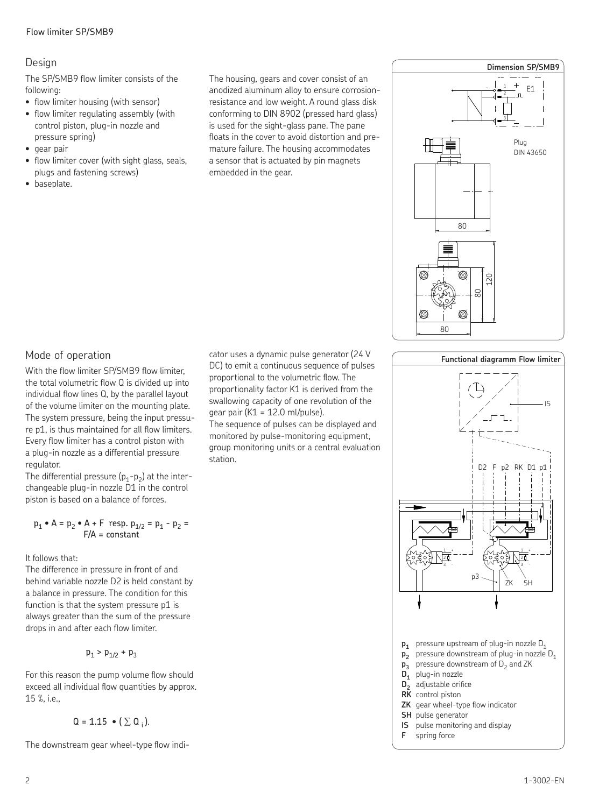### Design

The SP/SMB9 flow limiter consists of the following:

- flow limiter housing (with sensor)
- flow limiter regulating assembly (with control piston, plug-in nozzle and pressure spring)
- • gear pair
- flow limiter cover (with sight glass, seals, plugs and fastening screws)
- • baseplate.

The housing, gears and cover consist of an anodized aluminum alloy to ensure corrosionresistance and low weight. A round glass disk conforming to DIN 8902 (pressed hard glass) is used for the sight-glass pane. The pane floats in the cover to avoid distortion and premature failure. The housing accommodates a sensor that is actuated by pin magnets embedded in the gear.



**Functional diagramm Flow limiter**

# Mode of operation

With the flow limiter SP/SMB9 flow limiter, the total volumetric flow Q is divided up into individual flow lines Q, by the parallel layout of the volume limiter on the mounting plate. The system pressure, being the input pressure p1, is thus maintained for all flow limiters. Every flow limiter has a control piston with a plug-in nozzle as a differential pressure regulator.

The differential pressure  $(p_1-p_2)$  at the interchangeable plug-in nozzle D1 in the control piston is based on a balance of forces.

$$
p_1 \cdot A = p_2 \cdot A + F
$$
 resp.  $p_{1/2} = p_1 - p_2 =$   
  $F/A =$  constant

It follows that:

The difference in pressure in front of and behind variable nozzle D2 is held constant by a balance in pressure. The condition for this function is that the system pressure p1 is always greater than the sum of the pressure drops in and after each flow limiter.

$$
{\sf p}_1>{\sf p}_{1/2}+{\sf p}_3
$$

For this reason the pump volume flow should exceed all individual flow quantities by approx. 15 %, i.e.,

$$
\mathsf{Q} = \mathsf{1.15} \bullet (\Sigma \, \mathsf{Q}_i).
$$

The downstream gear wheel-type flow indi-

cator uses a dynamic pulse generator (24 V DC) to emit a continuous sequence of pulses proportional to the volumetric flow. The proportionality factor K1 is derived from the swallowing capacity of one revolution of the gear pair ( $K1 = 12.0$  ml/pulse).

The sequence of pulses can be displayed and monitored by pulse-monitoring equipment, group monitoring units or a central evaluation station.

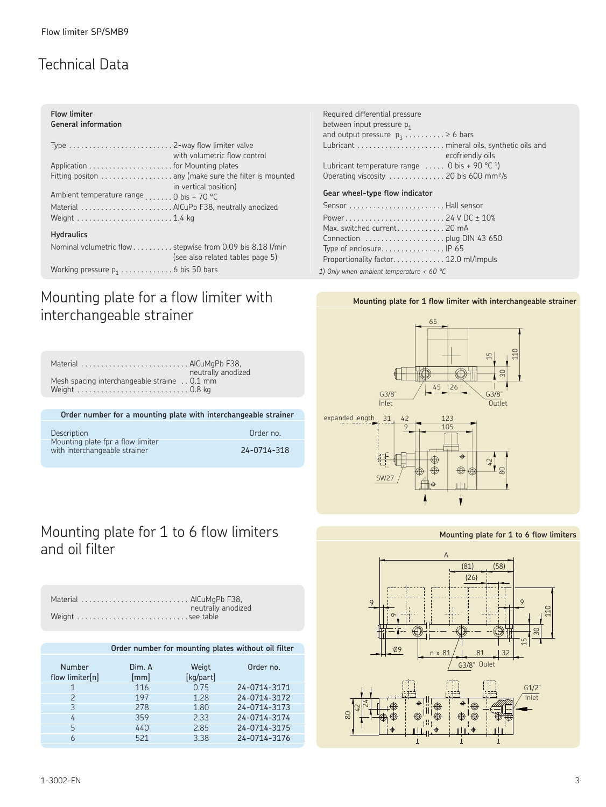# Technical Data

| <b>Flow limiter</b> |                     |
|---------------------|---------------------|
|                     | General information |

|                                                                  | with volumetric flow control                          |
|------------------------------------------------------------------|-------------------------------------------------------|
|                                                                  |                                                       |
|                                                                  | Fitting positon  any (make sure the filter is mounted |
| Ambient temperature range $\ldots$ . 0 bis + 70 °C               | in vertical position)                                 |
| Material AICuPb F38, neutrally anodized                          |                                                       |
|                                                                  |                                                       |
| <b>Hydraulics</b>                                                |                                                       |
| Nominal volumetric flow stepwise from 0.09 bis 8.18 l/min        | (see also related tables page 5)                      |
| Working pressure $p_1 \ldots \ldots \ldots \ldots$ 6 bis 50 bars |                                                       |

# Mounting plate for a flow limiter with **Mounting plate for 1 flow limiter with interchangeable strainer** interchangeable strainer

Material . AlCuMgPb F38,

 *1) Only when ambient temperature < 60 °C*



### **Mounting plate for 1 to 6 flow limiters**



neutrally anodized<br>0.1 mm Mesh spacing interchangeable straine .. Weight . 0.8 kg **Order number for a mounting plate with interchangeable strainer**

| Description                                                        | Order no.   |
|--------------------------------------------------------------------|-------------|
| Mounting plate fpr a flow limiter<br>with interchangeable strainer | 24-0714-318 |

# Mounting plate for 1 to 6 flow limiters and oil filter

| Material  AlCuMgPb F38, |                    |
|-------------------------|--------------------|
|                         |                    |
|                         | neutrally anodized |
| Weight see table        |                    |

#### **Order number for mounting plates without oil filter** Number Dim. A Weigt Order no. flow limiter[n] [mm] [kg/part] 1 116 0.75 24-0714-3171<br>2 197 1.28 24-0714-3172 24-0714-3172 3 278 1.80 24-0714-3173 4 359 2.33 24-0714-3174 5 440 2.85 24-0714-3175 6 521 3.38 24-0714-3176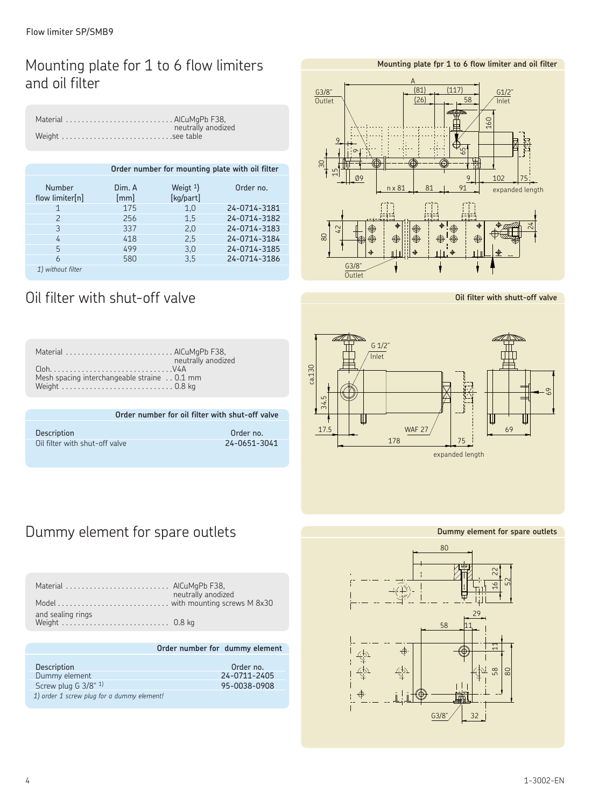# Mounting plate for 1 to 6 flow limiters and oil filter

| Material  AlCuMgPb F38, |                    |
|-------------------------|--------------------|
|                         | neutrally anodized |

| Order number for mounting plate with oil filter |                |                          |              | ട്       | 5<br>$\overline{\phantom{0}}$ |
|-------------------------------------------------|----------------|--------------------------|--------------|----------|-------------------------------|
| Number<br>flow limiter[n]                       | Dim. A<br>[mm] | Weigt $1$ )<br>[kg/part] | Order no.    |          | Ø9                            |
| 1                                               | 175            | 1,0                      | 24-0714-3181 |          |                               |
|                                                 | 256            | 1,5                      | 24-0714-3182 |          |                               |
| 3                                               | 337            | 2,0                      | 24-0714-3183 |          | $\mathfrak{Z}$                |
| 4                                               | 418            | 2,5                      | 24-0714-3184 | $\infty$ |                               |
| 5                                               | 499            | 3,0                      | 24-0714-3185 |          |                               |
| 6                                               | 580            | 3,5                      | 24-0714-3186 |          |                               |
| 1) without filter                               |                |                          |              |          | G3/8"<br>Outlet               |

# Oil filter with shut-off valve

| Material AICuMgPb F38,                                            |
|-------------------------------------------------------------------|
| neutrally anodized<br>Mesh spacing interchangeable straine 0.1 mm |
|                                                                   |
| Order number for oil filter with shut-off valve                   |
|                                                                   |

| <b>Description</b>             | Order no.    |
|--------------------------------|--------------|
| Oil filter with shut-off valve | 24-0651-3041 |

#### $\frac{61}{2}$  $\Xi$ G3/8" ¿(  $nx 81$   $31$ 9  $(26)$ თ  $(81)$  $\Delta$ ( 91  $102$  % %\$ \$'  $1117$ Outlet  $\sqrt{ }$   $\left| \frac{(26)}{20} \right| \rightarrow \frac{58}{20}$  / Inlet expanded length

**Mounting plate fpr 1 to 6 flow limiter and oil filter**



్ల

**Oil filter with shutt-off valve**



# Dummy element for spare outlets

| Material  AlCuMgPb F38, | neutrally anodized |
|-------------------------|--------------------|
|                         |                    |
| and sealing rings       |                    |

#### **Order number for dummy element**

| <b>Description</b>                         | Order no.    |
|--------------------------------------------|--------------|
| Dummy element                              | 24-0711-2405 |
| Screw plug G $3/8$ " <sup>1)</sup>         | 95-0038-0908 |
| 1) order 1 screw plug for a dummy element! |              |

**Dummy element for spare outlets**

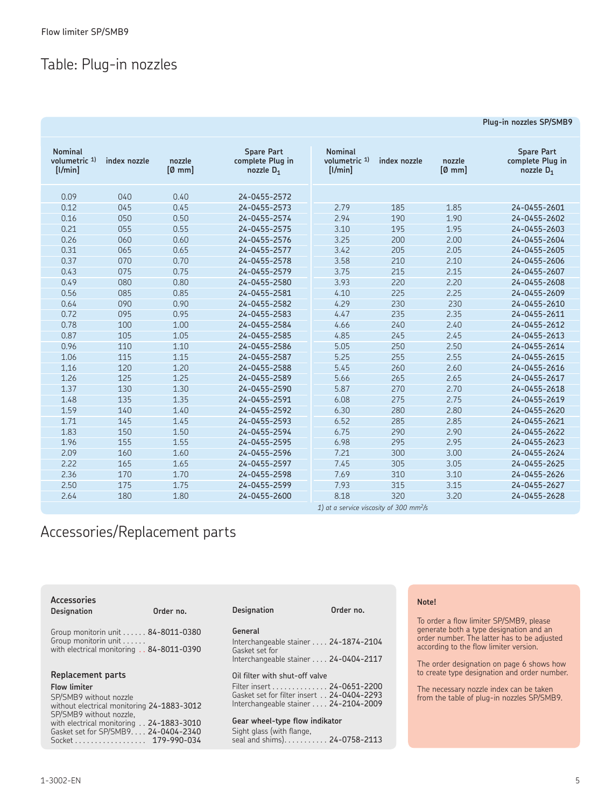# Table: Plug-in nozzles

| <b>Nominal</b><br>volumetric 1)<br>[1/min] | index nozzle | nozzle<br>[Ø~mm] | <b>Spare Part</b><br>complete Plug in<br>nozzle $D_1$ | <b>Nominal</b><br>volumetric 1)<br>[1/min]          | index nozzle | nozzle<br>$[0 \text{ mm}]$ | <b>Spare Part</b><br>complete Plug in<br>nozzle $D_1$ |
|--------------------------------------------|--------------|------------------|-------------------------------------------------------|-----------------------------------------------------|--------------|----------------------------|-------------------------------------------------------|
| 0.09                                       | 040          | 0.40             | 24-0455-2572                                          |                                                     |              |                            |                                                       |
| 0.12                                       | 045          | 0.45             | 24-0455-2573                                          | 2.79                                                | 185          | 1.85                       | 24-0455-2601                                          |
| 0.16                                       | 050          | 0.50             | 24-0455-2574                                          | 2.94                                                | 190          | 1.90                       | 24-0455-2602                                          |
| 0.21                                       | 055          | 0.55             | 24-0455-2575                                          | 3.10                                                | 195          | 1.95                       | 24-0455-2603                                          |
| 0.26                                       | 060          | 0.60             | 24-0455-2576                                          | 3.25                                                | 200          | 2.00                       | 24-0455-2604                                          |
| 0.31                                       | 065          | 0.65             | 24-0455-2577                                          | 3.42                                                | 205          | 2.05                       | 24-0455-2605                                          |
| 0.37                                       | 070          | 0.70             | 24-0455-2578                                          | 3.58                                                | 210          | 2.10                       | 24-0455-2606                                          |
| 0.43                                       | 075          | 0.75             | 24-0455-2579                                          | 3.75                                                | 215          | 2.15                       | 24-0455-2607                                          |
| 0.49                                       | 080          | 0.80             | 24-0455-2580                                          | 3.93                                                | 220          | 2.20                       | 24-0455-2608                                          |
| 0.56                                       | 085          | 0.85             | 24-0455-2581                                          | 4.10                                                | 225          | 2.25                       | 24-0455-2609                                          |
| 0.64                                       | 090          | 0.90             | 24-0455-2582                                          | 4.29                                                | 230          | 230                        | 24-0455-2610                                          |
| 0.72                                       | 095          | 0.95             | 24-0455-2583                                          | 4.47                                                | 235          | 2.35                       | 24-0455-2611                                          |
| 0.78                                       | 100          | 1.00             | 24-0455-2584                                          | 4.66                                                | 240          | 2.40                       | 24-0455-2612                                          |
| 0.87                                       | 105          | 1.05             | 24-0455-2585                                          | 4.85                                                | 245          | 2.45                       | 24-0455-2613                                          |
| 0.96                                       | 110          | 1.10             | 24-0455-2586                                          | 5.05                                                | 250          | 2.50                       | 24-0455-2614                                          |
| 1.06                                       | 115          | 1.15             | 24-0455-2587                                          | 5.25                                                | 255          | 2.55                       | 24-0455-2615                                          |
| 1,16                                       | 120          | 1.20             | 24-0455-2588                                          | 5.45                                                | 260          | 2.60                       | 24-0455-2616                                          |
| 1.26                                       | 125          | 1.25             | 24-0455-2589                                          | 5.66                                                | 265          | 2.65                       | 24-0455-2617                                          |
| 1.37                                       | 130          | 1.30             | 24-0455-2590                                          | 5.87                                                | 270          | 2.70                       | 24-0455-2618                                          |
| 1.48                                       | 135          | 1.35             | 24-0455-2591                                          | 6.08                                                | 275          | 2.75                       | 24-0455-2619                                          |
| 1.59                                       | 140          | 1.40             | 24-0455-2592                                          | 6.30                                                | 280          | 2.80                       | 24-0455-2620                                          |
| 1.71                                       | 145          | 1.45             | 24-0455-2593                                          | 6.52                                                | 285          | 2.85                       | 24-0455-2621                                          |
| 1.83                                       | 150          | 1.50             | 24-0455-2594                                          | 6.75                                                | 290          | 2.90                       | 24-0455-2622                                          |
| 1.96                                       | 155          | 1.55             | 24-0455-2595                                          | 6.98                                                | 295          | 2.95                       | 24-0455-2623                                          |
| 2.09                                       | 160          | 1.60             | 24-0455-2596                                          | 7.21                                                | 300          | 3.00                       | 24-0455-2624                                          |
| 2.22                                       | 165          | 1.65             | 24-0455-2597                                          | 7.45                                                | 305          | 3.05                       | 24-0455-2625                                          |
| 2.36                                       | 170          | 1.70             | 24-0455-2598                                          | 7.69                                                | 310          | 3.10                       | 24-0455-2626                                          |
| 2.50                                       | 175          | 1.75             | 24-0455-2599                                          | 7.93                                                | 315          | 3.15                       | 24-0455-2627                                          |
| 2.64                                       | 180          | 1.80             | 24-0455-2600                                          | 8.18                                                | 320          | 3.20                       | 24-0455-2628                                          |
|                                            |              |                  |                                                       | 1) at a service viscosity of 300 mm <sup>2</sup> /s |              |                            |                                                       |

# Accessories/Replacement parts

| <b>Accessories</b><br>Designation                                                                               | Order no. | Designation                                                 | Order no.                                                                                                       | Note!                                                                                                                                                                                                                    |  |
|-----------------------------------------------------------------------------------------------------------------|-----------|-------------------------------------------------------------|-----------------------------------------------------------------------------------------------------------------|--------------------------------------------------------------------------------------------------------------------------------------------------------------------------------------------------------------------------|--|
| Group monitorin unit 84-8011-0380<br>Group monitorin unit<br>with electrical monitoring 84-8011-0390            |           | General<br>Gasket set for                                   | Interchangeable stainer 24-1874-2104<br>Interchangeable stainer 24-0404-2117                                    | To order a flow limiter SP/SMB9, please<br>generate both a type designation and an<br>order number. The latter has to be adjusted<br>according to the flow limiter version.<br>The order designation on page 6 shows how |  |
| Replacement parts                                                                                               |           | Oil filter with shut-off valve                              |                                                                                                                 | to create type designation and order number.                                                                                                                                                                             |  |
| Flow limiter<br>SP/SMB9 without nozzle<br>without electrical monitoring 24-1883-3012<br>SP/SMB9 without nozzle. |           |                                                             | Filter insert 24-0651-2200<br>Gasket set for filter insert 24-0404-2293<br>Interchangeable stainer 24-2104-2009 | The necessary nozzle index can be taken<br>from the table of plug-in nozzles SP/SMB9.                                                                                                                                    |  |
| with electrical monitoring 24-1883-3010<br>Gasket set for SP/SMB9 24-0404-2340<br>Socket 179-990-034            |           | Gear wheel-type flow indikator<br>Sight glass (with flange, | seal and shims). 24-0758-2113                                                                                   |                                                                                                                                                                                                                          |  |

#### **Plug-in nozzles SP/SMB9**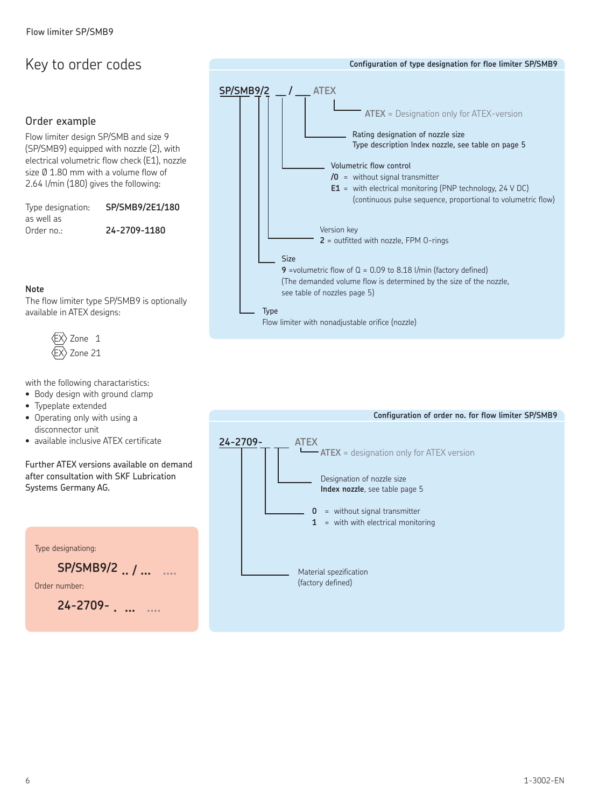# Key to order codes

### Order example

Flow limiter design SP/SMB and size 9 (SP/SMB9) equipped with nozzle (2), with electrical volumetric flow check (E1), nozzle size Ø 1.80 mm with a volume flow of 2.64 l/min (180) gives the following:

Type designation: **SP/SMB9/2E1/180** as well as Order no.: **24-2709-1180**

The flow limiter type SP/SMB9 is optionally



with the following charactaristics:

- Body design with ground clamp
- • Typeplate extended

available in ATEX designs:

 $\langle$ EX $\rangle$  Zone 1 Zone 21

**Note**

- Operating only with using a disconnector unit
- • available inclusive ATEX certificate

Further ATEX versions available on demand after consultation with SKF Lubrication Systems Germany AG.

| Type designationg: |  |  |  |  |  |
|--------------------|--|--|--|--|--|
| SP/SMB9/2 /        |  |  |  |  |  |
| Order number       |  |  |  |  |  |
| $24 - 2709 -$      |  |  |  |  |  |

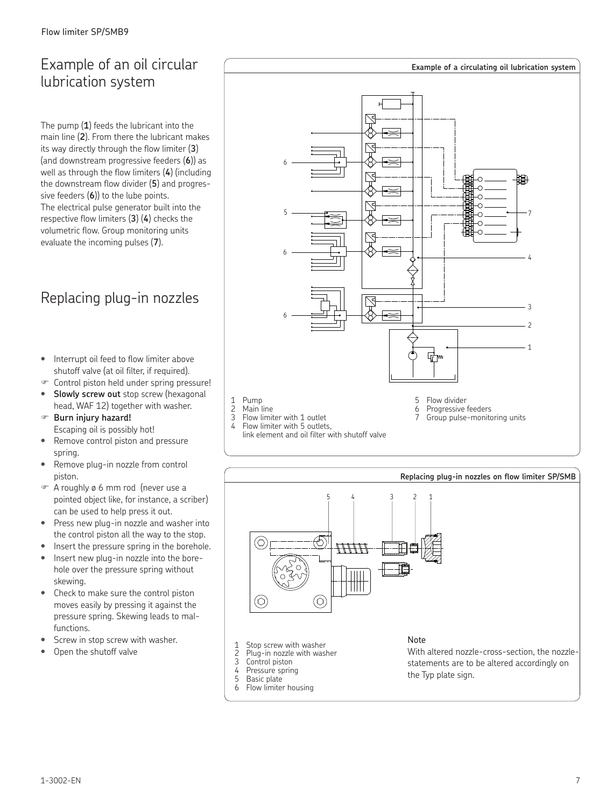# Example of an oil circular lubrication system

The pump (**1**) feeds the lubricant into the main line (**2**). From there the lubricant makes its way directly through the flow limiter (**3**) (and downstream progressive feeders (**6**)) as well as through the flow limiters (**4**) (including the downstream flow divider (**5**) and progressive feeders (**6**)) to the lube points. The electrical pulse generator built into the respective flow limiters (**3**) (**4**) checks the volumetric flow. Group monitoring units evaluate the incoming pulses (**7**).

# Replacing plug-in nozzles

- Interrupt oil feed to flow limiter above shutoff valve (at oil filter, if required).
- Control piston held under spring pressure!
- **Slowly screw out** stop screw (hexagonal head, WAF 12) together with washer.
- **Burn injury hazard!** Escaping oil is possibly hot!
- Remove control piston and pressure spring.
- Remove plug-in nozzle from control piston.
- A roughly ø 6 mm rod (never use a pointed object like, for instance, a scriber) can be used to help press it out.
- Press new plug-in nozzle and washer into the control piston all the way to the stop.
- Insert the pressure spring in the borehole.
- Insert new plug-in nozzle into the borehole over the pressure spring without skewing.
- Check to make sure the control piston moves easily by pressing it against the pressure spring. Skewing leads to malfunctions.
- Screw in stop screw with washer.
- Open the shutoff valve